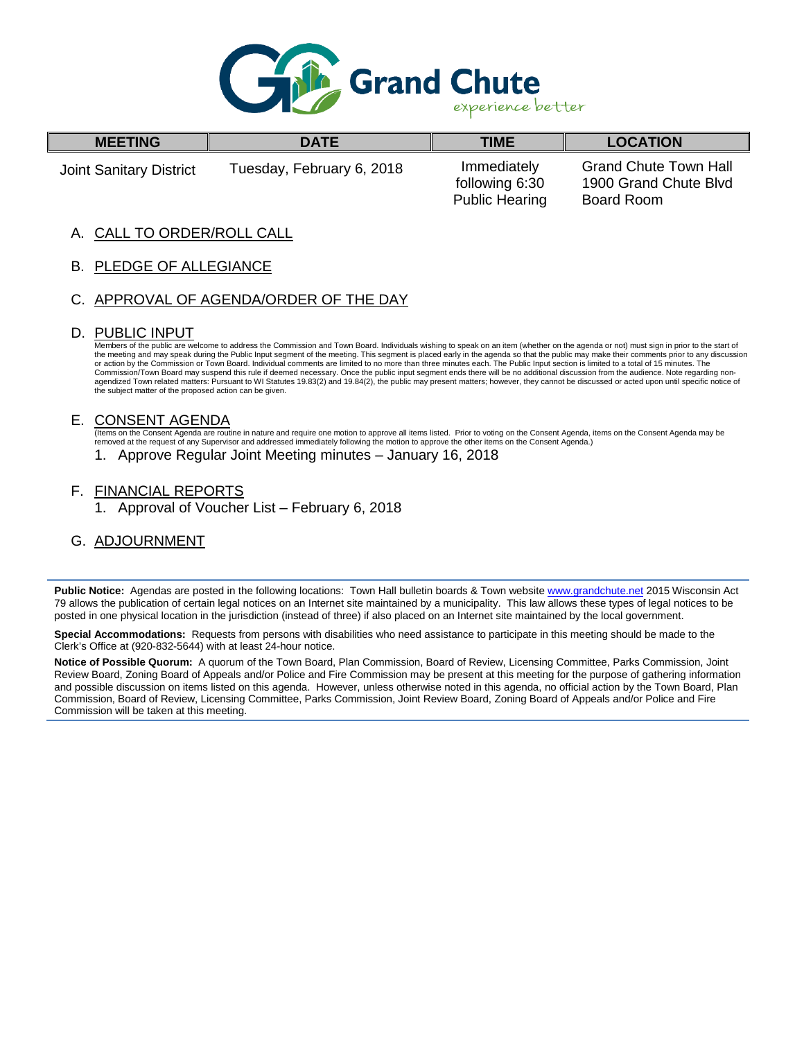

| <b>MEETING</b>                 | <b>DATE</b>               | <b>TIME</b>                                            | <b>LOCATION</b>                                                     |  |
|--------------------------------|---------------------------|--------------------------------------------------------|---------------------------------------------------------------------|--|
| <b>Joint Sanitary District</b> | Tuesday, February 6, 2018 | Immediately<br>following 6:30<br><b>Public Hearing</b> | <b>Grand Chute Town Hall</b><br>1900 Grand Chute Blvd<br>Board Room |  |

## CALL TO ORDER/ROLL CALL

B. PLEDGE OF ALLEGIANCE

# C. APPROVAL OF AGENDA/ORDER OF THE DAY

#### D. PUBLIC INPUT

Members of the public are welcome to address the Commission and Town Board. Individuals wishing to speak on an item (whether on the agenda or not) must sign in prior to the start of the meeting and may speak during the Public Input segment of the meeting. This segment is placed early in the agenda so that the public may make their comments prior to any discussion<br>or action by the Commission or Town Bo Commission/Town Board may suspend this rule if deemed necessary. Once the public input segment ends there will be no additional discussion from the audience. Note regarding nonagendized Town related matters: Pursuant to WI Statutes 19.83(2) and 19.84(2), the public may present matters; however, they cannot be discussed or acted upon until specific notice of the subject matter of the proposed action can be given.

#### E. CONSENT AGENDA

(Items on the Consent Agenda are routine in nature and require one motion to approve all items listed. Prior to voting on the Consent Agenda, items on the Consent Agenda may be removed at the request of any Supervisor and addressed immediately following the motion to approve the other items on the Consent Agenda.)

- 1. Approve Regular Joint Meeting minutes January 16, 2018
- F. FINANCIAL REPORTS
	- 1. Approval of Voucher List February 6, 2018
- G. ADJOURNMENT

Public Notice: Agendas are posted in the following locations: Town Hall bulletin boards & Town websit[e www.grandchute.net](http://www.grandchute.net/) 2015 Wisconsin Act 79 allows the publication of certain legal notices on an Internet site maintained by a municipality. This law allows these types of legal notices to be posted in one physical location in the jurisdiction (instead of three) if also placed on an Internet site maintained by the local government.

**Special Accommodations:** Requests from persons with disabilities who need assistance to participate in this meeting should be made to the Clerk's Office at (920-832-5644) with at least 24-hour notice.

**Notice of Possible Quorum:** A quorum of the Town Board, Plan Commission, Board of Review, Licensing Committee, Parks Commission, Joint Review Board, Zoning Board of Appeals and/or Police and Fire Commission may be present at this meeting for the purpose of gathering information and possible discussion on items listed on this agenda. However, unless otherwise noted in this agenda, no official action by the Town Board, Plan Commission, Board of Review, Licensing Committee, Parks Commission, Joint Review Board, Zoning Board of Appeals and/or Police and Fire Commission will be taken at this meeting.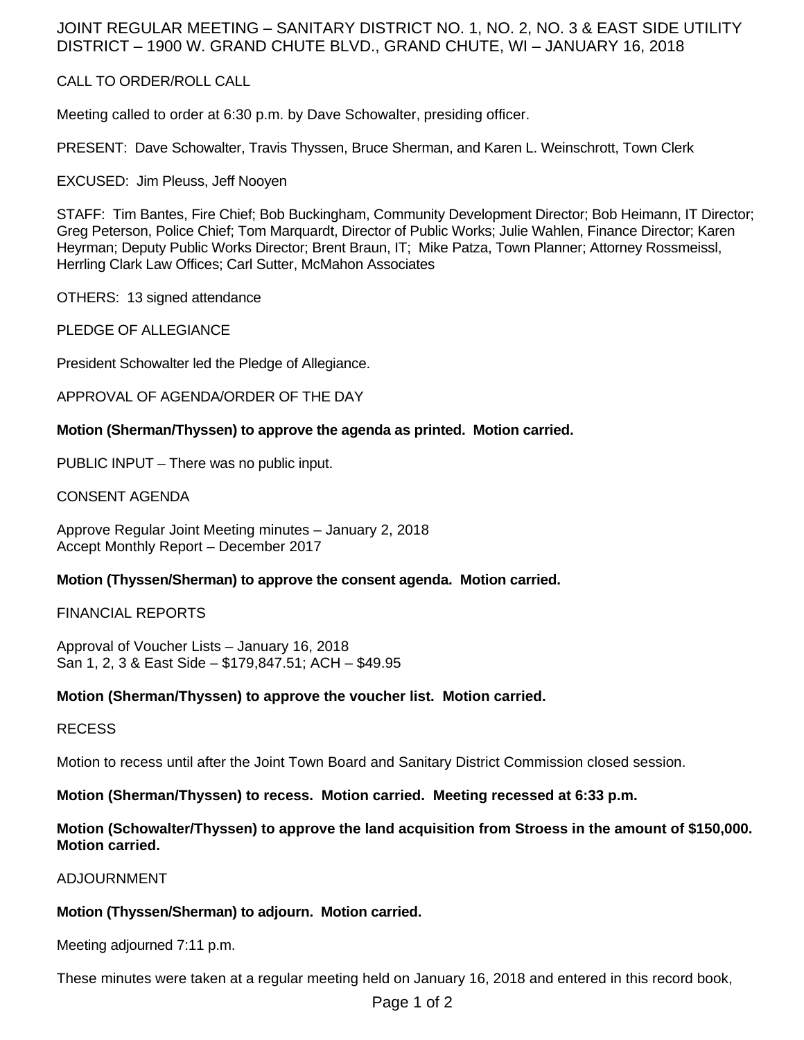# JOINT REGULAR MEETING – SANITARY DISTRICT NO. 1, NO. 2, NO. 3 & EAST SIDE UTILITY DISTRICT – 1900 W. GRAND CHUTE BLVD., GRAND CHUTE, WI – JANUARY 16, 2018

## CALL TO ORDER/ROLL CALL

Meeting called to order at 6:30 p.m. by Dave Schowalter, presiding officer.

PRESENT: Dave Schowalter, Travis Thyssen, Bruce Sherman, and Karen L. Weinschrott, Town Clerk

EXCUSED: Jim Pleuss, Jeff Nooyen

STAFF: Tim Bantes, Fire Chief; Bob Buckingham, Community Development Director; Bob Heimann, IT Director; Greg Peterson, Police Chief; Tom Marquardt, Director of Public Works; Julie Wahlen, Finance Director; Karen Heyrman; Deputy Public Works Director; Brent Braun, IT; Mike Patza, Town Planner; Attorney Rossmeissl, Herrling Clark Law Offices; Carl Sutter, McMahon Associates

OTHERS: 13 signed attendance

PLEDGE OF ALLEGIANCE

President Schowalter led the Pledge of Allegiance.

APPROVAL OF AGENDA/ORDER OF THE DAY

#### **Motion (Sherman/Thyssen) to approve the agenda as printed. Motion carried.**

PUBLIC INPUT – There was no public input.

CONSENT AGENDA

Approve Regular Joint Meeting minutes – January 2, 2018 Accept Monthly Report – December 2017

#### **Motion (Thyssen/Sherman) to approve the consent agenda. Motion carried.**

FINANCIAL REPORTS

Approval of Voucher Lists – January 16, 2018 San 1, 2, 3 & East Side – \$179,847.51; ACH – \$49.95

#### **Motion (Sherman/Thyssen) to approve the voucher list. Motion carried.**

#### RECESS

Motion to recess until after the Joint Town Board and Sanitary District Commission closed session.

**Motion (Sherman/Thyssen) to recess. Motion carried. Meeting recessed at 6:33 p.m.** 

## **Motion (Schowalter/Thyssen) to approve the land acquisition from Stroess in the amount of \$150,000. Motion carried.**

ADJOURNMENT

#### **Motion (Thyssen/Sherman) to adjourn. Motion carried.**

Meeting adjourned 7:11 p.m.

These minutes were taken at a regular meeting held on January 16, 2018 and entered in this record book,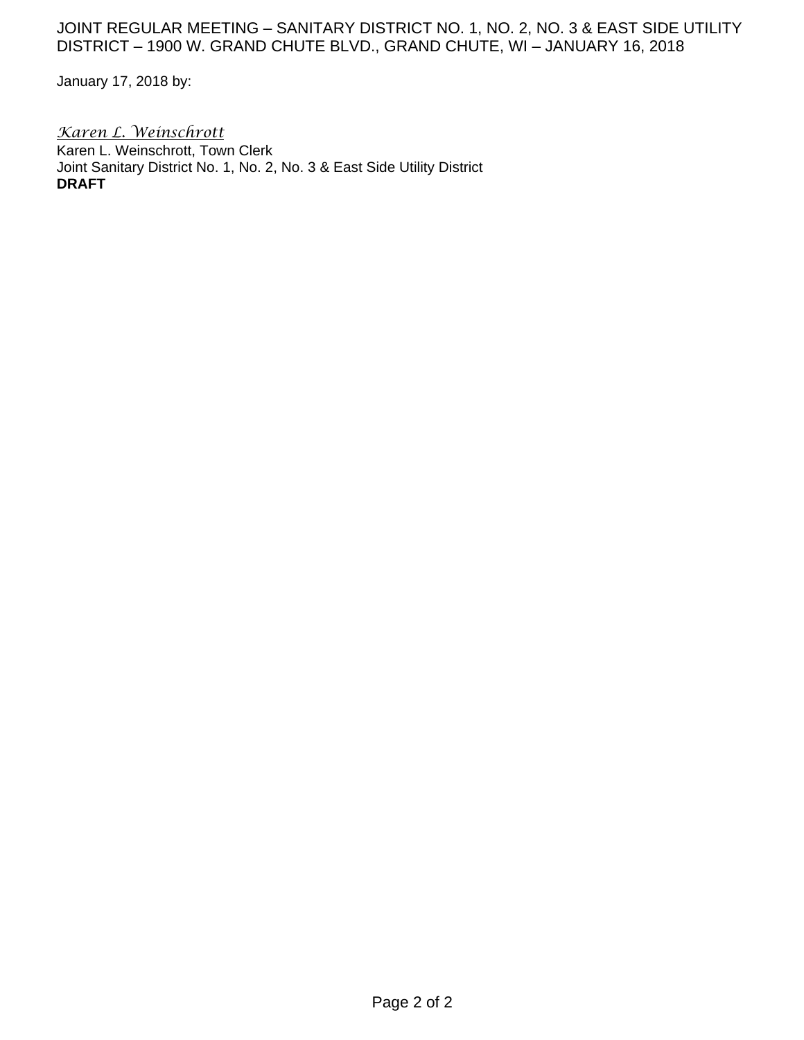# JOINT REGULAR MEETING - SANITARY DISTRICT NO. 1, NO. 2, NO. 3 & EAST SIDE UTILITY DISTRICT – 1900 W. GRAND CHUTE BLVD., GRAND CHUTE, WI – JANUARY 16, 2018

January 17, 2018 by:

*Karen L. Weinschrott*  Karen L. Weinschrott, Town Clerk Joint Sanitary District No. 1, No. 2, No. 3 & East Side Utility District **DRAFT**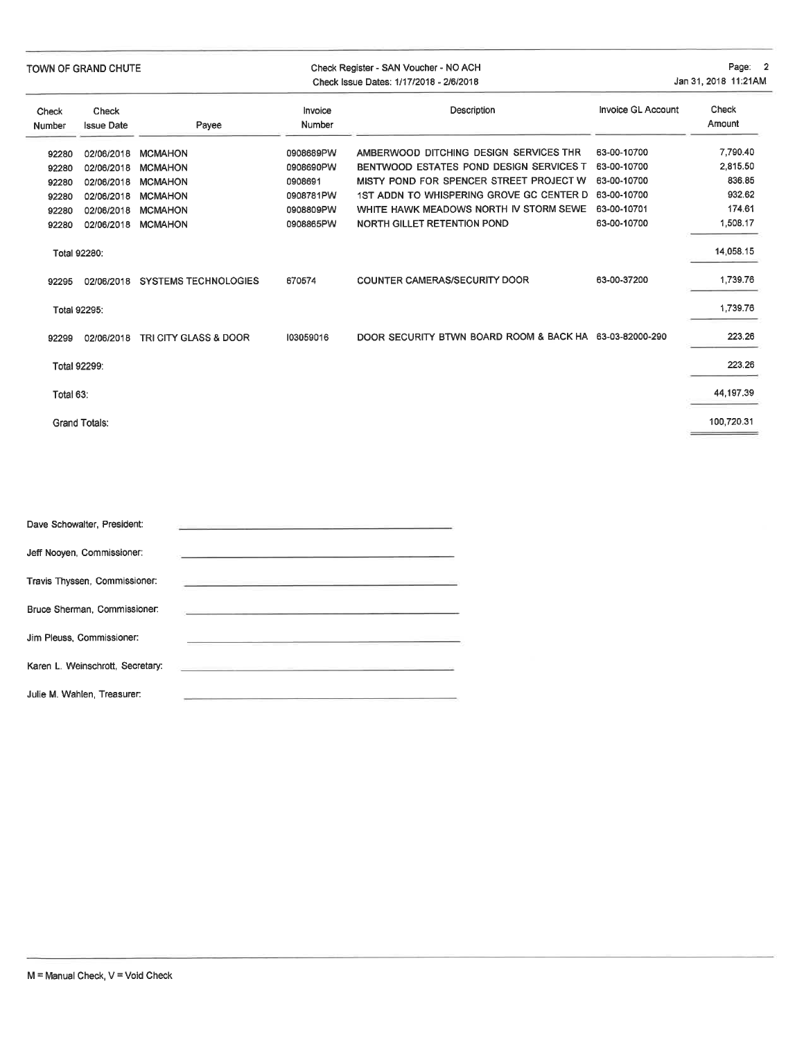| TOWN OF GRAND CHUTE |                            |                             | Check Register - SAN Voucher - NO ACH<br>Check Issue Dates: 1/17/2018 - 2/6/2018 | Page: 2<br>Jan 31, 2018 11:21AM                         |                           |                 |
|---------------------|----------------------------|-----------------------------|----------------------------------------------------------------------------------|---------------------------------------------------------|---------------------------|-----------------|
| Check<br>Number     | Check<br><b>Issue Date</b> | Payee                       | Invoice<br>Number                                                                | Description                                             | <b>Invoice GL Account</b> | Check<br>Amount |
| 92280               | 02/06/2018                 | <b>MCMAHON</b>              | 0908689PW                                                                        | AMBERWOOD DITCHING DESIGN SERVICES THR                  | 63-00-10700               | 7,790.40        |
| 92280               | 02/06/2018                 | <b>MCMAHON</b>              | 0908690PW                                                                        | BENTWOOD ESTATES POND DESIGN SERVICES T                 | 63-00-10700               | 2,815.50        |
| 92280               | 02/06/2018                 | <b>MCMAHON</b>              | 0908691                                                                          | MISTY POND FOR SPENCER STREET PROJECT W                 | 63-00-10700               | 836.85          |
| 92280               | 02/06/2018                 | <b>MCMAHON</b>              | 0908781PW                                                                        | 1ST ADDN TO WHISPERING GROVE GC CENTER D                | 63-00-10700               | 932.62          |
| 92280               | 02/06/2018                 | <b>MCMAHON</b>              | 0908809PW                                                                        | WHITE HAWK MEADOWS NORTH IV STORM SEWE                  | 63-00-10701               | 174.61          |
| 92280               | 02/06/2018                 | <b>MCMAHON</b>              | 0908865PW                                                                        | NORTH GILLET RETENTION POND                             | 63-00-10700               | 1,508.17        |
|                     | Total 92280:               |                             |                                                                                  |                                                         |                           | 14,058.15       |
| 92295               | 02/06/2018                 | <b>SYSTEMS TECHNOLOGIES</b> | 670574                                                                           | <b>COUNTER CAMERAS/SECURITY DOOR</b>                    | 63-00-37200               | 1,739.76        |
|                     | Total 92295:               |                             |                                                                                  |                                                         |                           | 1,739.76        |
| 92299               | 02/06/2018                 | TRI CITY GLASS & DOOR       | 103059016                                                                        | DOOR SECURITY BTWN BOARD ROOM & BACK HA 63-03-82000-290 |                           | 223.26          |
|                     | Total 92299:               |                             |                                                                                  |                                                         |                           | 223.26          |
| Total 63:           |                            |                             |                                                                                  |                                                         |                           | 44,197.39       |
|                     | <b>Grand Totals:</b>       |                             |                                                                                  |                                                         |                           | 100,720.31      |

| Dave Schowalter, President:      | the control of the control of the control of the control of the control of the control of the control of the control of the control of the control of the control of the control of the control of the control of the control |
|----------------------------------|-------------------------------------------------------------------------------------------------------------------------------------------------------------------------------------------------------------------------------|
| Jeff Nooyen, Commissioner:       |                                                                                                                                                                                                                               |
| Travis Thyssen, Commissioner:    | <u> 1989 - Johann Stein, mars and de Brazilia</u>                                                                                                                                                                             |
| Bruce Sherman, Commissioner:     | and the company of the company of the company of the company of the company of the company of the company of the                                                                                                              |
| Jim Pleuss, Commissioner:        |                                                                                                                                                                                                                               |
| Karen L. Weinschrott, Secretary: | <u> 1989 - Jan Berger, amerikansk politiker (d. 1989)</u>                                                                                                                                                                     |
| Julie M. Wahlen, Treasurer:      |                                                                                                                                                                                                                               |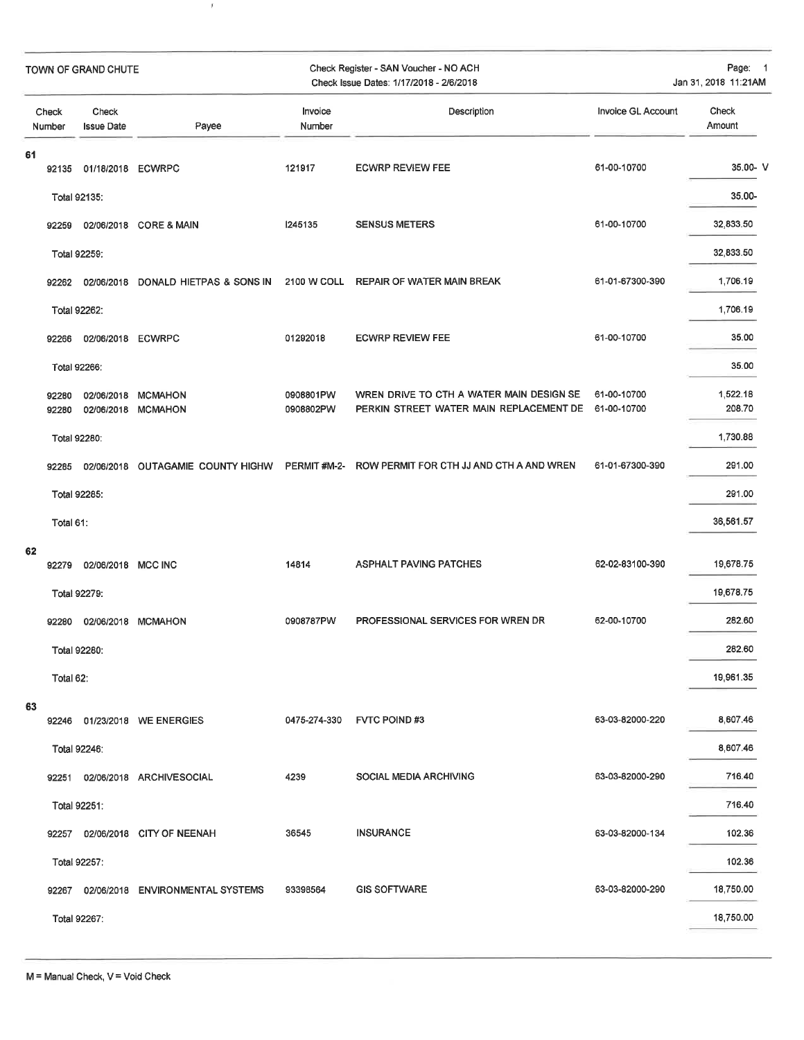| TOWN OF GRAND CHUTE |                 |                            | Check Register - SAN Voucher - NO ACH<br>Check Issue Dates: 1/17/2018 - 2/6/2018 | Page: 1<br>Jan 31, 2018 11:21AM |                                                                                                 |                           |                    |
|---------------------|-----------------|----------------------------|----------------------------------------------------------------------------------|---------------------------------|-------------------------------------------------------------------------------------------------|---------------------------|--------------------|
|                     | Check<br>Number | Check<br><b>Issue Date</b> | Payee                                                                            | Invoice<br>Number               | Description                                                                                     | <b>Invoice GL Account</b> | Check<br>Amount    |
| 61                  | 92135           | 01/18/2018 ECWRPC          |                                                                                  | 121917                          | <b>ECWRP REVIEW FEE</b>                                                                         | 61-00-10700               | 35.00-V            |
|                     |                 | Total 92135:               |                                                                                  |                                 |                                                                                                 |                           | 35.00-             |
|                     | 92259           |                            | 02/06/2018 CORE & MAIN                                                           | 1245135                         | <b>SENSUS METERS</b>                                                                            | 61-00-10700               | 32,833.50          |
|                     |                 | Total 92259:               |                                                                                  |                                 |                                                                                                 |                           | 32,833.50          |
|                     | 92262           |                            | 02/06/2018 DONALD HIETPAS & SONS IN                                              |                                 | 2100 W COLL REPAIR OF WATER MAIN BREAK                                                          | 61-01-67300-390           | 1,706.19           |
|                     |                 | Total 92262:               |                                                                                  |                                 |                                                                                                 |                           | 1,706.19           |
|                     | 92266           | 02/06/2018 ECWRPC          |                                                                                  | 01292018                        | <b>ECWRP REVIEW FEE</b>                                                                         | 61-00-10700               | 35.00              |
|                     |                 | Total 92266:               |                                                                                  |                                 |                                                                                                 |                           | 35.00              |
|                     | 92280<br>92280  | 02/06/2018<br>02/06/2018   | <b>MCMAHON</b><br><b>MCMAHON</b>                                                 | 0908801PW<br>0908802PW          | WREN DRIVE TO CTH A WATER MAIN DESIGN SE<br>PERKIN STREET WATER MAIN REPLACEMENT DE 61-00-10700 | 61-00-10700               | 1,522.18<br>208.70 |
|                     |                 | Total 92280:               |                                                                                  |                                 |                                                                                                 |                           | 1,730.88           |
|                     | 92285           | 02/06/2018                 | OUTAGAMIE COUNTY HIGHW                                                           | PERMIT#M-2-                     | ROW PERMIT FOR CTH JJ AND CTH A AND WREN                                                        | 61-01-67300-390           | 291.00             |
|                     |                 | Total 92285:               |                                                                                  |                                 |                                                                                                 |                           | 291.00             |
|                     | Total 61:       |                            |                                                                                  |                                 |                                                                                                 |                           | 36,561.57          |
| 62                  |                 |                            |                                                                                  |                                 |                                                                                                 |                           |                    |
|                     | 92279           | 02/06/2018 MCC INC         |                                                                                  | 14814                           | <b>ASPHALT PAVING PATCHES</b>                                                                   | 62-02-83100-390           | 19,678.75          |
|                     | Total 92279:    |                            |                                                                                  |                                 |                                                                                                 |                           | 19,678.75          |
|                     | 92280           | 02/06/2018                 | <b>MCMAHON</b>                                                                   | 0908787PW                       | PROFESSIONAL SERVICES FOR WREN DR                                                               | 62-00-10700               | 282.60             |
|                     |                 | Total 92280:               |                                                                                  |                                 |                                                                                                 |                           | 282.60             |
|                     | Total 62:       |                            |                                                                                  |                                 |                                                                                                 |                           | 19,961.35          |
| 63                  | 92246           |                            | 01/23/2018 WE ENERGIES                                                           | 0475-274-330                    | <b>FVTC POIND#3</b>                                                                             | 63-03-82000-220           | 8,607.46           |
|                     | Total 92246:    |                            |                                                                                  |                                 |                                                                                                 |                           | 8,607.46           |
|                     | 92251           |                            | 02/06/2018 ARCHIVESOCIAL                                                         | 4239                            | <b>SOCIAL MEDIA ARCHIVING</b>                                                                   | 63-03-82000-290           | 716.40             |
|                     | Total 92251:    |                            |                                                                                  |                                 |                                                                                                 |                           | 716.40             |
|                     | 92257           |                            | 02/06/2018 CITY OF NEENAH                                                        | 36545                           | <b>INSURANCE</b>                                                                                | 63-03-82000-134           | 102.36             |
|                     |                 | Total 92257:               |                                                                                  |                                 |                                                                                                 |                           | 102.36             |
|                     |                 |                            | 92267 02/06/2018 ENVIRONMENTAL SYSTEMS                                           | 93398564                        | <b>GIS SOFTWARE</b>                                                                             | 63-03-82000-290           | 18,750.00          |
|                     |                 | Total 92267:               |                                                                                  |                                 |                                                                                                 |                           | 18,750.00          |
|                     |                 |                            |                                                                                  |                                 |                                                                                                 |                           |                    |

 $\bar{r}$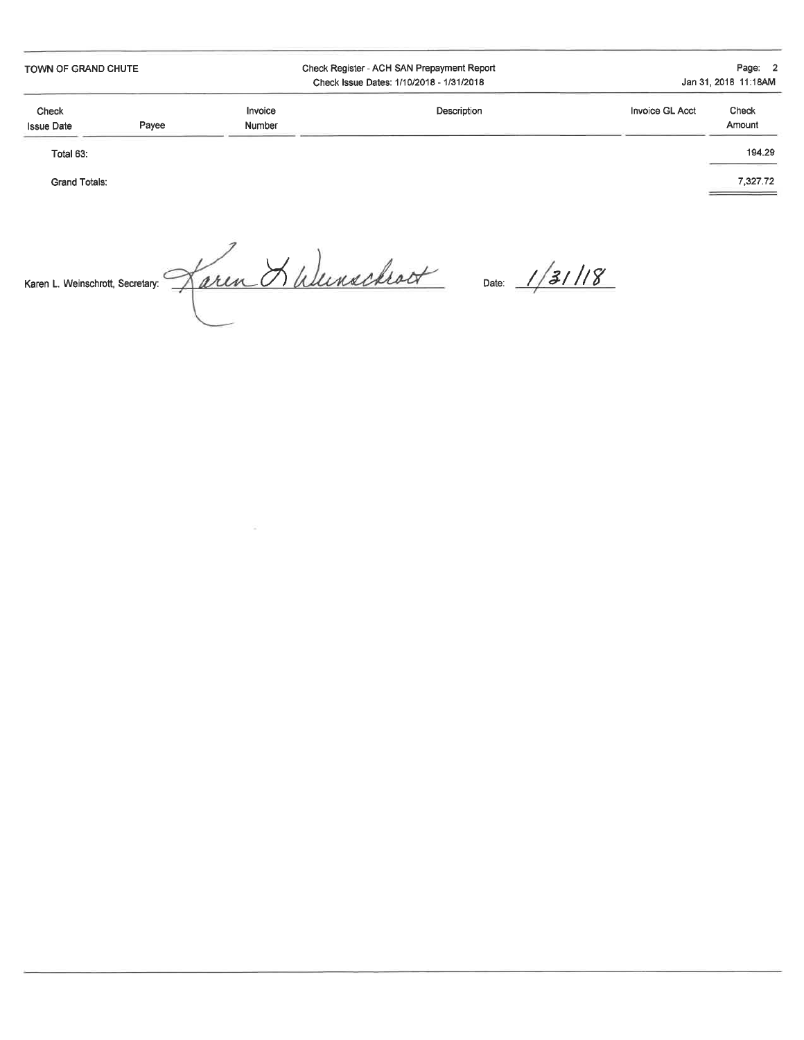TOWN OF GRAND CHUTE

**Grand Totals:** 

Check Register - ACH SAN Prepayment Report Check Issue Dates: 1/10/2018 - 1/31/2018

Page: 2 Jan 31, 2018 11:18AM

| Check<br><b>Issue Date</b> | Payee | Invoice<br>Number | Description | Invoice GL Acct | Check<br>Amount |
|----------------------------|-------|-------------------|-------------|-----------------|-----------------|
| Total 63:                  |       |                   |             |                 | 194.29          |

7,327.72

Karen L. Weinschrott, Secretary. <u>Jaren Hulenschrot</u> Date: 1/31/18